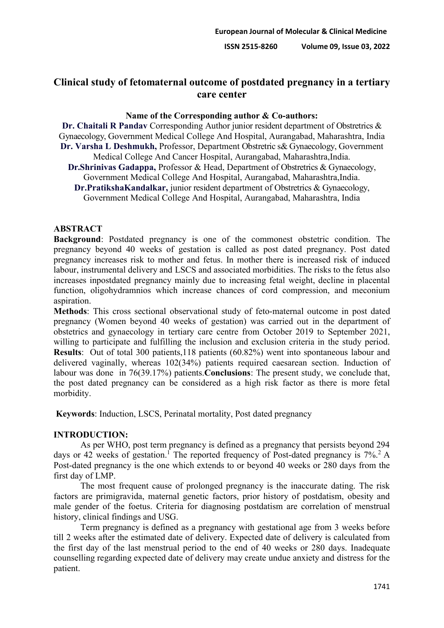# **Clinical study of fetomaternal outcome of postdated pregnancy in a tertiary care center**

## **Name of the Corresponding author & Co-authors:**

**Dr. Chaitali R Pandav** Corresponding Author junior resident department of Obstretrics & Gynaecology, Government Medical College And Hospital, Aurangabad, Maharashtra, India **Dr. Varsha L Deshmukh,** Professor, Department Obstretric s& Gynaecology, Government Medical College And Cancer Hospital, Aurangabad, Maharashtra,India.

**Dr.Shrinivas Gadappa,** Professor & Head, Department of Obstretrics & Gynaecology, Government Medical College And Hospital, Aurangabad, Maharashtra,India.

**Dr.PratikshaKandalkar,** junior resident department of Obstretrics & Gynaecology, Government Medical College And Hospital, Aurangabad, Maharashtra, India

## **ABSTRACT**

**Background**: Postdated pregnancy is one of the commonest obstetric condition. The pregnancy beyond 40 weeks of gestation is called as post dated pregnancy. Post dated pregnancy increases risk to mother and fetus. In mother there is increased risk of induced labour, instrumental delivery and LSCS and associated morbidities. The risks to the fetus also increases inpostdated pregnancy mainly due to increasing fetal weight, decline in placental function, oligohydramnios which increase chances of cord compression, and meconium aspiration.

**Methods**: This cross sectional observational study of feto-maternal outcome in post dated pregnancy (Women beyond 40 weeks of gestation) was carried out in the department of obstetrics and gynaecology in tertiary care centre from October 2019 to September 2021, willing to participate and fulfilling the inclusion and exclusion criteria in the study period. **Results**: Out of total 300 patients,118 patients (60.82%) went into spontaneous labour and delivered vaginally, whereas 102(34%) patients required caesarean section. Induction of labour was done in 76(39.17%) patients.**Conclusions**: The present study, we conclude that, the post dated pregnancy can be considered as a high risk factor as there is more fetal morbidity.

**Keywords**: Induction, LSCS, Perinatal mortality, Post dated pregnancy

# **INTRODUCTION:**

As per WHO, post term pregnancy is defined as a pregnancy that persists beyond 294 days or 42 weeks of gestation.<sup>1</sup> The reported frequency of Post-dated pregnancy is  $7\%$ .<sup>2</sup> A Post-dated pregnancy is the one which extends to or beyond 40 weeks or 280 days from the first day of LMP.

The most frequent cause of prolonged pregnancy is the inaccurate dating. The risk factors are primigravida, maternal genetic factors, prior history of postdatism, obesity and male gender of the foetus. Criteria for diagnosing postdatism are correlation of menstrual history, clinical findings and USG.

Term pregnancy is defined as a pregnancy with gestational age from 3 weeks before till 2 weeks after the estimated date of delivery. Expected date of delivery is calculated from the first day of the last menstrual period to the end of 40 weeks or 280 days. Inadequate counselling regarding expected date of delivery may create undue anxiety and distress for the patient.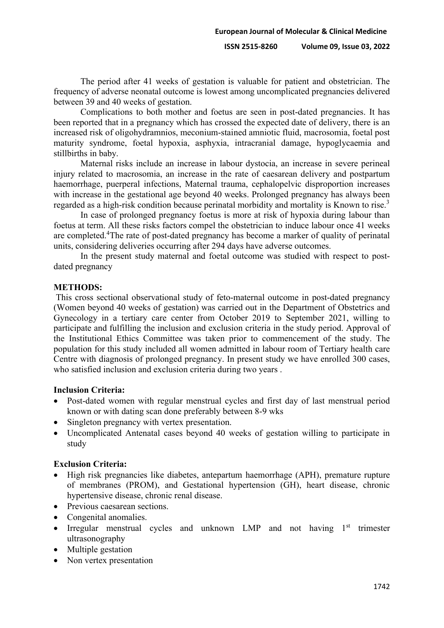The period after 41 weeks of gestation is valuable for patient and obstetrician. The frequency of adverse neonatal outcome is lowest among uncomplicated pregnancies delivered between 39 and 40 weeks of gestation.

Complications to both mother and foetus are seen in post-dated pregnancies. It has been reported that in a pregnancy which has crossed the expected date of delivery, there is an increased risk of oligohydramnios, meconium-stained amniotic fluid, macrosomia, foetal post maturity syndrome, foetal hypoxia, asphyxia, intracranial damage, hypoglycaemia and stillbirths in baby.

Maternal risks include an increase in labour dystocia, an increase in severe perineal injury related to macrosomia, an increase in the rate of caesarean delivery and postpartum haemorrhage, puerperal infections, Maternal trauma, cephalopelvic disproportion increases with increase in the gestational age beyond 40 weeks. Prolonged pregnancy has always been regarded as a high-risk condition because perinatal morbidity and mortality is Known to rise.<sup>3</sup>

In case of prolonged pregnancy foetus is more at risk of hypoxia during labour than foetus at term. All these risks factors compel the obstetrician to induce labour once 41 weeks are completed.<sup>4</sup>The rate of post-dated pregnancy has become a marker of quality of perinatal units, considering deliveries occurring after 294 days have adverse outcomes.

In the present study maternal and foetal outcome was studied with respect to postdated pregnancy

#### **METHODS:**

This cross sectional observational study of feto-maternal outcome in post-dated pregnancy (Women beyond 40 weeks of gestation) was carried out in the Department of Obstetrics and Gynecology in a tertiary care center from October 2019 to September 2021, willing to participate and fulfilling the inclusion and exclusion criteria in the study period. Approval of the Institutional Ethics Committee was taken prior to commencement of the study. The population for this study included all women admitted in labour room of Tertiary health care Centre with diagnosis of prolonged pregnancy. In present study we have enrolled 300 cases, who satisfied inclusion and exclusion criteria during two years .

### **Inclusion Criteria:**

- Post-dated women with regular menstrual cycles and first day of last menstrual period known or with dating scan done preferably between 8-9 wks
- Singleton pregnancy with vertex presentation.
- Uncomplicated Antenatal cases beyond 40 weeks of gestation willing to participate in study

#### **Exclusion Criteria:**

- ∑ High risk pregnancies like diabetes, antepartum haemorrhage (APH), premature rupture of membranes (PROM), and Gestational hypertension (GH), heart disease, chronic hypertensive disease, chronic renal disease.
- Previous caesarean sections.
- Congenital anomalies.
- Irregular menstrual cycles and unknown LMP and not having 1<sup>st</sup> trimester ultrasonography
- Multiple gestation
- Non vertex presentation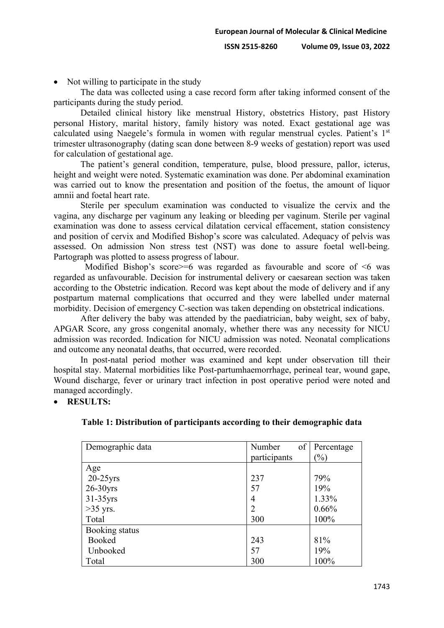• Not willing to participate in the study

The data was collected using a case record form after taking informed consent of the participants during the study period.

Detailed clinical history like menstrual History, obstetrics History, past History personal History, marital history, family history was noted. Exact gestational age was calculated using Naegele's formula in women with regular menstrual cycles. Patient's 1<sup>st</sup> trimester ultrasonography (dating scan done between 8-9 weeks of gestation) report was used for calculation of gestational age.

The patient's general condition, temperature, pulse, blood pressure, pallor, icterus, height and weight were noted. Systematic examination was done. Per abdominal examination was carried out to know the presentation and position of the foetus, the amount of liquor amnii and foetal heart rate.

Sterile per speculum examination was conducted to visualize the cervix and the vagina, any discharge per vaginum any leaking or bleeding per vaginum. Sterile per vaginal examination was done to assess cervical dilatation cervical effacement, station consistency and position of cervix and Modified Bishop's score was calculated. Adequacy of pelvis was assessed. On admission Non stress test (NST) was done to assure foetal well-being. Partograph was plotted to assess progress of labour.

Modified Bishop's score  $\geq$  =6 was regarded as favourable and score of  $\leq$ 6 was regarded as unfavourable. Decision for instrumental delivery or caesarean section was taken according to the Obstetric indication. Record was kept about the mode of delivery and if any postpartum maternal complications that occurred and they were labelled under maternal morbidity. Decision of emergency C-section was taken depending on obstetrical indications.

After delivery the baby was attended by the paediatrician, baby weight, sex of baby, APGAR Score, any gross congenital anomaly, whether there was any necessity for NICU admission was recorded. Indication for NICU admission was noted. Neonatal complications and outcome any neonatal deaths, that occurred, were recorded.

In post-natal period mother was examined and kept under observation till their hospital stay. Maternal morbidities like Post-partumhaemorrhage, perineal tear, wound gape, Wound discharge, fever or urinary tract infection in post operative period were noted and managed accordingly.

∑ **RESULTS:**

| Demographic data | of<br>Number   | Percentage |
|------------------|----------------|------------|
|                  | participants   | $\%$       |
| Age              |                |            |
| $20-25$ yrs      | 237            | 79%        |
| $26-30$ yrs      | 57             | 19%        |
| $31-35$ yrs      | 4              | 1.33%      |
| $>35$ yrs.       | $\overline{2}$ | 0.66%      |
| Total            | 300            | 100%       |
| Booking status   |                |            |
| Booked           | 243            | 81%        |
| Unbooked         | 57             | 19%        |
| Total            | 300            | 100%       |

| Table 1: Distribution of participants according to their demographic data |  |  |
|---------------------------------------------------------------------------|--|--|
|                                                                           |  |  |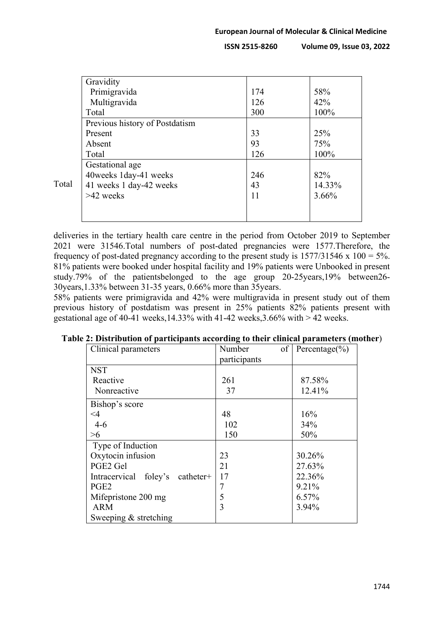|       | Gravidity                      |     |        |
|-------|--------------------------------|-----|--------|
|       | Primigravida                   | 174 | 58%    |
|       | Multigravida                   | 126 | 42%    |
|       | Total                          | 300 | 100%   |
|       | Previous history of Postdatism |     |        |
|       | Present                        | 33  | 25%    |
|       | Absent                         | 93  | 75%    |
|       | Total                          | 126 | 100%   |
|       | Gestational age                |     |        |
|       | 40weeks 1day-41 weeks          | 246 | 82%    |
| Total | 41 weeks 1 day-42 weeks        | 43  | 14.33% |
|       | $>42$ weeks                    | 11  | 3.66%  |
|       |                                |     |        |
|       |                                |     |        |

deliveries in the tertiary health care centre in the period from October 2019 to September 2021 were 31546.Total numbers of post-dated pregnancies were 1577.Therefore, the frequency of post-dated pregnancy according to the present study is  $1577/31546 \times 100 = 5\%$ . 81% patients were booked under hospital facility and 19% patients were Unbooked in present study.79% of the patientsbelonged to the age group 20-25years,19% between26- 30years,1.33% between 31-35 years, 0.66% more than 35years.

58% patients were primigravida and 42% were multigravida in present study out of them previous history of postdatism was present in 25% patients 82% patients present with gestational age of 40-41 weeks,14.33% with 41-42 weeks,3.66% with  $> 42$  weeks.

| Clinical parameters             | of<br>Number | Percentage $(\% )$ |
|---------------------------------|--------------|--------------------|
|                                 | participants |                    |
| <b>NST</b>                      |              |                    |
| Reactive                        | 261          | 87.58%             |
| Nonreactive                     | 37           | 12.41%             |
| Bishop's score                  |              |                    |
| $\leq$ 4                        | 48           | 16%                |
| $4-6$                           | 102          | 34%                |
| >6                              | 150          | 50%                |
| Type of Induction               |              |                    |
| Oxytocin infusion               | 23           | 30.26%             |
| PGE2 Gel                        | 21           | 27.63%             |
| Intracervical foley's catheter+ | 17           | 22.36%             |
| PGE <sub>2</sub>                |              | 9.21%              |
| Mifepristone 200 mg             | 5            | 6.57%              |
| ARM                             | 3            | 3.94%              |
| Sweeping & stretching           |              |                    |

| Table 2: Distribution of participants according to their clinical parameters (mother) |  |  |  |  |  |
|---------------------------------------------------------------------------------------|--|--|--|--|--|
|---------------------------------------------------------------------------------------|--|--|--|--|--|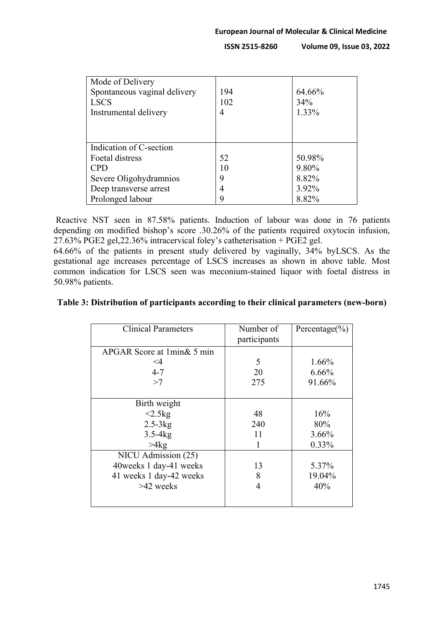| Mode of Delivery             |     |        |
|------------------------------|-----|--------|
| Spontaneous vaginal delivery | 194 | 64.66% |
| <b>LSCS</b>                  | 102 | 34%    |
| Instrumental delivery        | 4   | 1.33%  |
|                              |     |        |
|                              |     |        |
| Indication of C-section      |     |        |
| Foetal distress              | 52  | 50.98% |
| <b>CPD</b>                   | 10  | 9.80%  |
| Severe Oligohydramnios       | 9   | 8.82%  |
| Deep transverse arrest       | 4   | 3.92%  |
| Prolonged labour             | 9   | 8.82%  |

Reactive NST seen in 87.58% patients. Induction of labour was done in 76 patients depending on modified bishop's score .30.26% of the patients required oxytocin infusion, 27.63% PGE2 gel,22.36% intracervical foley's catheterisation + PGE2 gel.

64.66% of the patients in present study delivered by vaginally, 34% byLSCS. As the gestational age increases percentage of LSCS increases as shown in above table. Most common indication for LSCS seen was meconium-stained liquor with foetal distress in 50.98% patients.

## **Table 3: Distribution of participants according to their clinical parameters (new-born)**

| <b>Clinical Parameters</b> | Number of<br>participants | Percentage $(\% )$ |
|----------------------------|---------------------------|--------------------|
| APGAR Score at 1min& 5 min |                           |                    |
| $\leq 4$                   | 5                         | 1.66%              |
| $4 - 7$                    | 20                        | 6.66%              |
| >7                         | 275                       | 91.66%             |
|                            |                           |                    |
| Birth weight               |                           |                    |
| <2.5kg                     | 48                        | 16%                |
| $2.5-3kg$                  | 240                       | 80%                |
| $3.5-4kg$                  | 11                        | 3.66%              |
| >4kg                       |                           | 0.33%              |
| NICU Admission (25)        |                           |                    |
| 40 weeks 1 day-41 weeks    | 13                        | 5.37%              |
| 41 weeks 1 day-42 weeks    | 8                         | 19.04%             |
| $>42$ weeks                | 4                         | 40%                |
|                            |                           |                    |
|                            |                           |                    |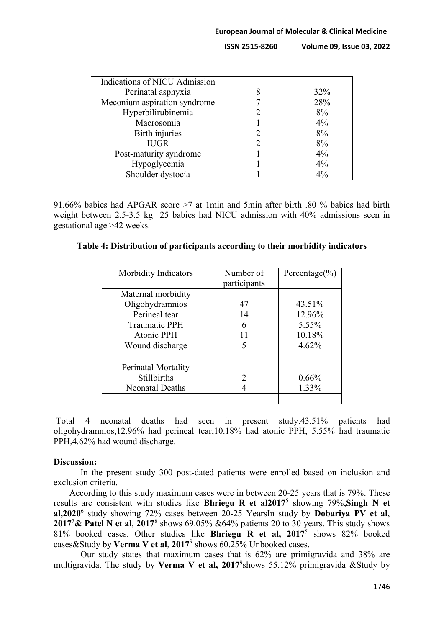| Indications of NICU Admission |        |
|-------------------------------|--------|
| Perinatal asphyxia            | $32\%$ |
| Meconium aspiration syndrome  | 28%    |
| Hyperbilirubinemia            | 8%     |
| Macrosomia                    | 4%     |
| Birth injuries                | 8%     |
| <b>IUGR</b>                   | 8%     |
| Post-maturity syndrome        | 4%     |
| Hypoglycemia                  | $4\%$  |
| Shoulder dystocia             | $4\%$  |

91.66% babies had APGAR score >7 at 1min and 5min after birth .80 % babies had birth weight between 2.5-3.5 kg 25 babies had NICU admission with 40% admissions seen in gestational age >42 weeks.

### **Table 4: Distribution of participants according to their morbidity indicators**

| Morbidity Indicators   | Number of<br>participants | Percentage $(\% )$ |
|------------------------|---------------------------|--------------------|
| Maternal morbidity     |                           |                    |
| Oligohydramnios        | 47                        | 43.51%             |
| Perineal tear          | 14                        | 12.96%             |
| <b>Traumatic PPH</b>   | 6                         | 5.55%              |
| Atonic PPH             | 11                        | 10.18%             |
| Wound discharge        | 5                         | 4.62%              |
|                        |                           |                    |
| Perinatal Mortality    |                           |                    |
| <b>Stillbirths</b>     | $\mathcal{P}$             | 0.66%              |
| <b>Neonatal Deaths</b> |                           | 1.33%              |
|                        |                           |                    |

Total 4 neonatal deaths had seen in present study.43.51% patients had oligohydramnios,12.96% had perineal tear,10.18% had atonic PPH, 5.55% had traumatic PPH,4.62% had wound discharge.

### **Discussion:**

In the present study 300 post-dated patients were enrolled based on inclusion and exclusion criteria.

According to this study maximum cases were in between 20-25 years that is 79%. These results are consistent with studies like **Bhriegu R et al2017**<sup>5</sup> showing 79%,**Singh N et al,2020**<sup>6</sup> study showing 72% cases between 20-25 YearsIn study by **Dobariya PV et al**, **2017**<sup>7</sup> **& Patel N et al**, **2017**<sup>8</sup> shows 69.05% &64% patients 20 to 30 years. This study shows 81% booked cases. Other studies like **Bhriegu R et al, 2017**<sup>5</sup> shows 82% booked cases&Study by **Verma V et al**, **2017**<sup>9</sup> shows 60.25% Unbooked cases.

Our study states that maximum cases that is 62% are primigravida and 38% are multigravida. The study by **Verma V et al, 2017**<sup>9</sup> shows 55.12% primigravida &Study by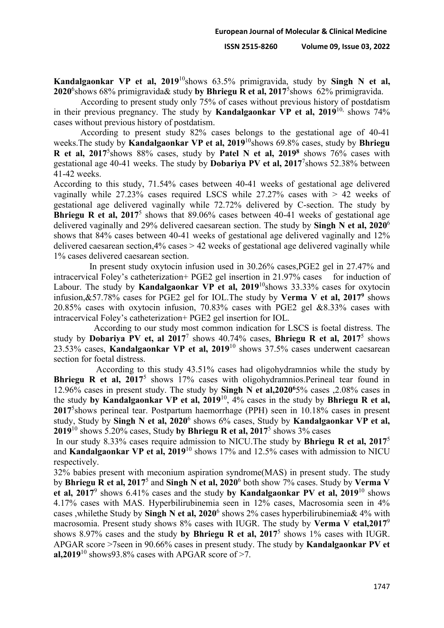**Kandalgaonkar VP et al, 2019**<sup>10</sup>shows 63.5% primigravida, study by **Singh N et al, 2020**<sup>6</sup> shows 68% primigravida& study **by Bhriegu R et al, 2017**<sup>5</sup> shows 62% primigravida.

According to present study only 75% of cases without previous history of postdatism in their previous pregnancy. The study by **Kandalgaonkar VP et al, 2019**<sup>10,</sup> shows 74% cases without previous history of postdatism.

According to present study 82% cases belongs to the gestational age of 40-41 weeks.The study by **Kandalgaonkar VP et al, 2019**10shows 69.8% cases, study by **Bhriegu R et al, 2017**<sup>5</sup> shows 88% cases, study by **Patel N et al, 20198** shows 76% cases with gestational age 40-41 weeks. The study by **Dobariya PV et al, 2017**<sup>7</sup> shows 52.38% between 41-42 weeks.

According to this study, 71.54% cases between 40-41 weeks of gestational age delivered vaginally while  $27.23\%$  cases required LSCS while  $27.27\%$  cases with  $> 42$  weeks of gestational age delivered vaginally while 72.72% delivered by C-section. The study by **Bhriegu R et al, 2017<sup>5</sup>** shows that 89.06% cases between 40-41 weeks of gestational age delivered vaginally and 29% delivered caesarean section. The study by **Singh N et al, 2020**<sup>6</sup> shows that 84% cases between 40-41 weeks of gestational age delivered vaginally and 12% delivered caesarean section,4% cases > 42 weeks of gestational age delivered vaginally while 1% cases delivered caesarean section.

In present study oxytocin infusion used in 30.26% cases,PGE2 gel in 27.47% and intracervical Foley's catheterization+ PGE2 gel insertion in 21.97% cases for induction of Labour. The study by **Kandalgaonkar VP et al, 2019**<sup>10</sup>shows 33.33% cases for oxytocin infusion,&57.78% cases for PGE2 gel for IOL.The study by **Verma V et al, 20179** shows 20.85% cases with oxytocin infusion, 70.83% cases with PGE2 gel &8.33% cases with intracervical Foley's catheterization+ PGE2 gel insertion for IOL.

According to our study most common indication for LSCS is foetal distress. The study by **Dobariya PV et, al 2017**<sup>7</sup> shows 40.74% cases, **Bhriegu R et al, 2017**<sup>5</sup> shows 23.53% cases, **Kandalgaonkar VP et al, 2019**<sup>10</sup> shows 37.5% cases underwent caesarean section for foetal distress.

According to this study 43.51% cases had oligohydramnios while the study by **Bhriegu R et al, 2017<sup>5</sup>** shows 17% cases with oligohydramnios. Perineal tear found in 12.96% cases in present study. The study by **Singh N et al,20206**5% cases ,2.08% cases in the study **by Kandalgaonkar VP et al, 2019**10, 4% cases in the study by **Bhriegu R et al, 2017**<sup>5</sup> shows perineal tear. Postpartum haemorrhage (PPH) seen in 10.18% cases in present study, Study by **Singh N et al, 2020**<sup>6</sup> shows 6% cases, Study by **Kandalgaonkar VP et al, 2019**<sup>10</sup> shows 5.20% cases, Study **by Bhriegu R et al, 2017**<sup>5</sup> shows 3% cases

In our study 8.33% cases require admission to NICU.The study by **Bhriegu R et al, 2017**<sup>5</sup> and **Kandalgaonkar VP et al, 2019**<sup>10</sup> shows 17% and 12.5% cases with admission to NICU respectively.

32% babies present with meconium aspiration syndrome(MAS) in present study. The study by **Bhriegu R et al, 2017**<sup>5</sup> and **Singh N et al, 2020**<sup>6</sup> both show 7% cases. Study by **Verma V et al, 2017**<sup>9</sup> shows 6.41% cases and the study **by Kandalgaonkar PV et al, 2019**<sup>10</sup> shows 4.17% cases with MAS. Hyperbilirubinemia seen in 12% cases, Macrosomia seen in 4% cases ,whilethe Study by **Singh N et al, 2020**<sup>6</sup> shows 2% cases hyperbilirubinemia& 4% with macrosomia. Present study shows 8% cases with IUGR. The study by **Verma V etal,2017**<sup>9</sup> shows 8.97% cases and the study **by Bhriegu R et al, 2017**<sup>5</sup> shows 1% cases with IUGR. APGAR score >7seen in 90.66% cases in present study. The study by **Kandalgaonkar PV et al,2019**<sup>10</sup> shows93.8% cases with APGAR score of >7.